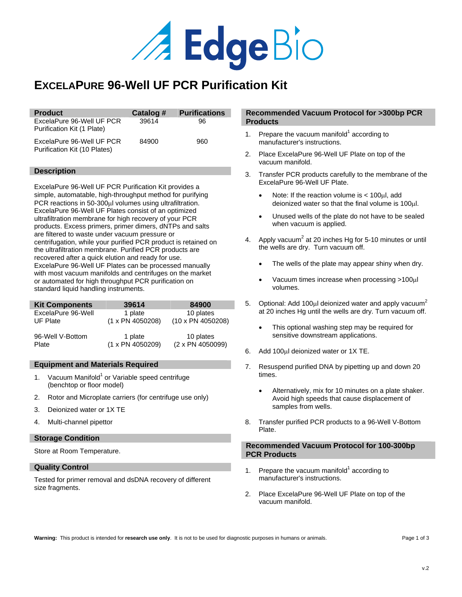

# **EXCELAPURE 96-Well UF PCR Purification Kit**

| <b>Product</b>                                            | Catalog # | <b>Purifications</b> |
|-----------------------------------------------------------|-----------|----------------------|
| ExcelaPure 96-Well UF PCR<br>Purification Kit (1 Plate)   | 39614     | 96                   |
| ExcelaPure 96-Well UF PCR<br>Purification Kit (10 Plates) | 84900     | 960                  |

# **Description**

ExcelaPure 96-Well UF PCR Purification Kit provides a simple, automatable, high-throughput method for purifying PCR reactions in 50-300µl volumes using ultrafiltration. ExcelaPure 96-Well UF Plates consist of an optimized ultrafiltration membrane for high recovery of your PCR products. Excess primers, primer dimers, dNTPs and salts are filtered to waste under vacuum pressure or centrifugation, while your purified PCR product is retained on the ultrafiltration membrane. Purified PCR products are recovered after a quick elution and ready for use. ExcelaPure 96-Well UF Plates can be processed manually with most vacuum manifolds and centrifuges on the market or automated for high throughput PCR purification on standard liquid handling instruments.

| <b>Kit Components</b> | 39614            | 84900             |
|-----------------------|------------------|-------------------|
| ExcelaPure 96-Well    | 1 plate          | 10 plates         |
| UF Plate              | (1 x PN 4050208) | (10 x PN 4050208) |
| 96-Well V-Bottom      | 1 plate          | 10 plates         |
| Plate                 | (1 x PN 4050209) | (2 x PN 4050099)  |

# **Equipment and Materials Required**

- 1. Vacuum Manifold $1$  or Variable speed centrifuge (benchtop or floor model)
- 2. Rotor and Microplate carriers (for centrifuge use only)
- 3. Deionized water or 1X TE
- 4. Multi-channel pipettor

# **Storage Condition**

Store at Room Temperature.

#### **Quality Control**

Tested for primer removal and dsDNA recovery of different size fragments.

# **Recommended Vacuum Protocol for >300bp PCR Products**

- 1. Prepare the vacuum manifold $1$  according to manufacturer's instructions.
- 2. Place ExcelaPure 96-Well UF Plate on top of the vacuum manifold.
- 3. Transfer PCR products carefully to the membrane of the ExcelaPure 96-Well UF Plate.
	- Note: If the reaction volume is < 100µl, add deionized water so that the final volume is 100µl.
	- Unused wells of the plate do not have to be sealed when vacuum is applied.
- 4. Apply vacuum<sup>2</sup> at 20 inches Hg for 5-10 minutes or until the wells are dry. Turn vacuum off.
	- The wells of the plate may appear shiny when dry.
	- Vacuum times increase when processing >100µl volumes.
- 5. Optional: Add 100 $\mu$ l deionized water and apply vacuum<sup>2</sup> at 20 inches Hg until the wells are dry. Turn vacuum off.
	- This optional washing step may be required for sensitive downstream applications.
- 6. Add 100µl deionized water or 1X TE.
- 7. Resuspend purified DNA by pipetting up and down 20 times.
	- Alternatively, mix for 10 minutes on a plate shaker. Avoid high speeds that cause displacement of samples from wells.
- 8. Transfer purified PCR products to a 96-Well V-Bottom Plate.

# **Recommended Vacuum Protocol for 100-300bp PCR Products**

- 1. Prepare the vacuum manifold $1$  according to manufacturer's instructions.
- 2. Place ExcelaPure 96-Well UF Plate on top of the vacuum manifold.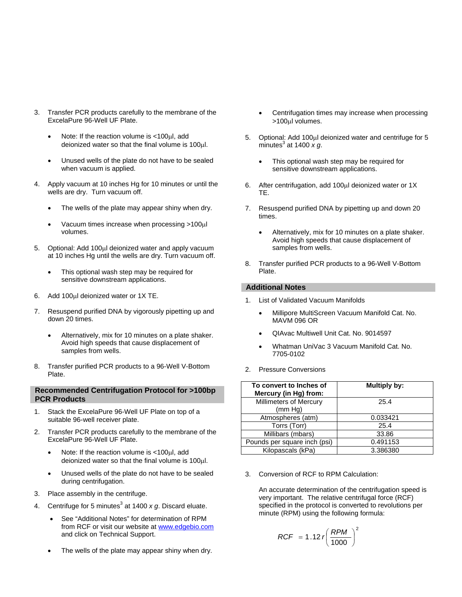- 3. Transfer PCR products carefully to the membrane of the ExcelaPure 96-Well UF Plate.
	- Note: If the reaction volume is <100µl, add deionized water so that the final volume is 100µl.
	- Unused wells of the plate do not have to be sealed when vacuum is applied.
- 4. Apply vacuum at 10 inches Hg for 10 minutes or until the wells are dry. Turn vacuum off.
	- The wells of the plate may appear shiny when dry.
	- Vacuum times increase when processing >100µl volumes.
- 5. Optional: Add 100µl deionized water and apply vacuum at 10 inches Hg until the wells are dry. Turn vacuum off.
	- This optional wash step may be required for sensitive downstream applications.
- 6. Add 100µl deionized water or 1X TE.
- 7. Resuspend purified DNA by vigorously pipetting up and down 20 times.
	- Alternatively, mix for 10 minutes on a plate shaker. Avoid high speeds that cause displacement of samples from wells.
- 8. Transfer purified PCR products to a 96-Well V-Bottom Plate.

# **Recommended Centrifugation Protocol for >100bp PCR Products**

- 1. Stack the ExcelaPure 96-Well UF Plate on top of a suitable 96-well receiver plate.
- 2. Transfer PCR products carefully to the membrane of the ExcelaPure 96-Well UF Plate.
	- Note: If the reaction volume is <100µl, add deionized water so that the final volume is 100µl.
	- Unused wells of the plate do not have to be sealed during centrifugation.
- 3. Place assembly in the centrifuge.
- 4. Centrifuge for 5 minutes<sup>3</sup> at 1400  $x$  g. Discard eluate.
	- See "Additional Notes" for determination of RPM from RCF or visit our website at www.edgebio.com and click on Technical Support.
	- The wells of the plate may appear shiny when dry.
- Centrifugation times may increase when processing >100µl volumes.
- 5. Optional: Add 100µl deionized water and centrifuge for 5 minutes $^3$  at 1400  $\times g$ .
	- This optional wash step may be required for sensitive downstream applications.
- 6. After centrifugation, add 100µl deionized water or 1X TE.
- 7. Resuspend purified DNA by pipetting up and down 20 times.
	- Alternatively, mix for 10 minutes on a plate shaker. Avoid high speeds that cause displacement of samples from wells.
- 8. Transfer purified PCR products to a 96-Well V-Bottom Plate.

# **Additional Notes**

- 1. List of Validated Vacuum Manifolds
	- Millipore MultiScreen Vacuum Manifold Cat. No. MAVM 096 OR
	- QIAvac Multiwell Unit Cat. No. 9014597
	- Whatman UniVac 3 Vacuum Manifold Cat. No. 7705-0102
- 2. Pressure Conversions

| To convert to Inches of<br>Mercury (in Hg) from: | <b>Multiply by:</b> |
|--------------------------------------------------|---------------------|
| Millimeters of Mercury<br>(mm Hg)                | 25.4                |
| Atmospheres (atm)                                | 0.033421            |
| Torrs (Torr)                                     | 25.4                |
| Millibars (mbars)                                | 33.86               |
| Pounds per square inch (psi)                     | 0.491153            |
| Kilopascals (kPa)                                | 3.386380            |

3. Conversion of RCF to RPM Calculation:

An accurate determination of the centrifugation speed is very important. The relative centrifugal force (RCF) specified in the protocol is converted to revolutions per minute (RPM) using the following formula:

$$
RCF = 1.12 r \left(\frac{RPM}{1000}\right)^2
$$